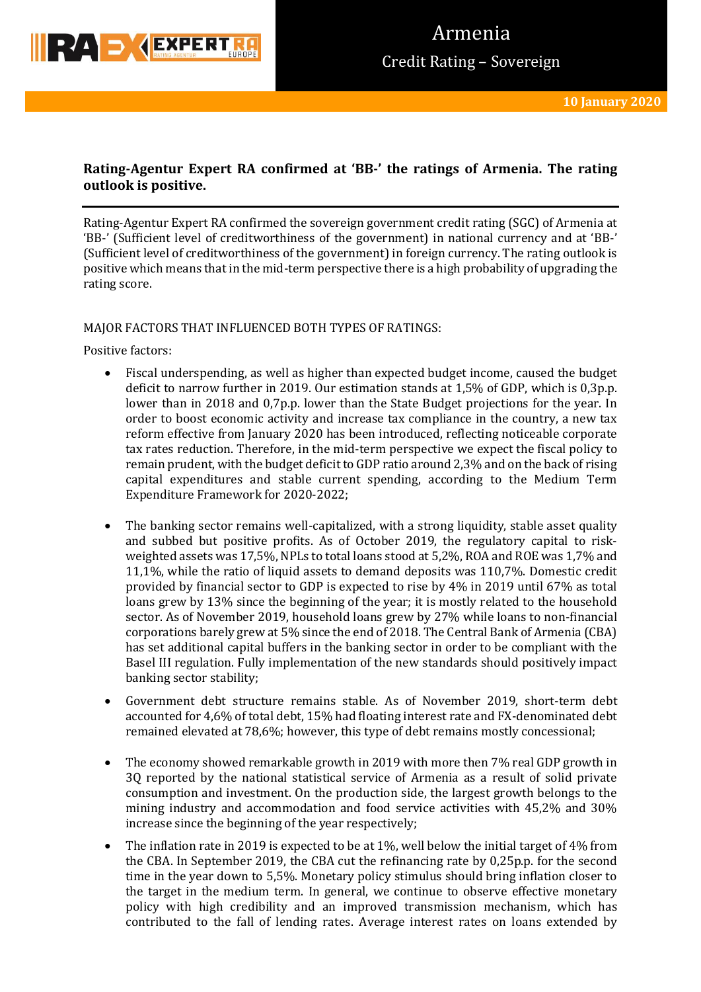

# **Rating-Agentur Expert RA confirmed at 'BB-' the ratings of Armenia. The rating outlook is positive.**

Rating-Agentur Expert RA confirmed the sovereign government credit rating (SGC) of Armenia at 'BB-' (Sufficient level of creditworthiness of the government) in national currency and at 'BB-' (Sufficient level of creditworthiness of the government) in foreign currency. The rating outlook is positive which means that in the mid-term perspective there is a high probability of upgrading the rating score.

## MAJOR FACTORS THAT INFLUENCED BOTH TYPES OF RATINGS:

Positive factors:

- Fiscal underspending, as well as higher than expected budget income, caused the budget deficit to narrow further in 2019. Our estimation stands at 1,5% of GDP, which is 0,3p.p. lower than in 2018 and 0,7p.p. lower than the State Budget projections for the year. In order to boost economic activity and increase tax compliance in the country, a new tax reform effective from January 2020 has been introduced, reflecting noticeable corporate tax rates reduction. Therefore, in the mid-term perspective we expect the fiscal policy to remain prudent, with the budget deficit to GDP ratio around 2,3% and on the back of rising capital expenditures and stable current spending, according to the Medium Term Expenditure Framework for 2020-2022;
- The banking sector remains well-capitalized, with a strong liquidity, stable asset quality and subbed but positive profits. As of October 2019, the regulatory capital to riskweighted assets was 17,5%, NPLs to total loans stood at 5,2%, ROA and ROE was 1,7% and 11,1%, while the ratio of liquid assets to demand deposits was 110,7%. Domestic credit provided by financial sector to GDP is expected to rise by 4% in 2019 until 67% as total loans grew by 13% since the beginning of the year; it is mostly related to the household sector. As of November 2019, household loans grew by 27% while loans to non-financial corporations barely grew at 5% since the end of 2018. The Central Bank of Armenia (CBA) has set additional capital buffers in the banking sector in order to be compliant with the Basel III regulation. Fully implementation of the new standards should positively impact banking sector stability;
- Government debt structure remains stable. As of November 2019, short-term debt accounted for 4,6% of total debt, 15% had floating interest rate and FX-denominated debt remained elevated at 78,6%; however, this type of debt remains mostly concessional;
- The economy showed remarkable growth in 2019 with more then 7% real GDP growth in 3Q reported by the national statistical service of Armenia as a result of solid private consumption and investment. On the production side, the largest growth belongs to the mining industry and accommodation and food service activities with 45,2% and 30% increase since the beginning of the year respectively;
- The inflation rate in 2019 is expected to be at 1%, well below the initial target of 4% from the CBA. In September 2019, the CBA cut the refinancing rate by 0,25p.p. for the second time in the year down to 5,5%. Monetary policy stimulus should bring inflation closer to the target in the medium term. In general, we continue to observe effective monetary policy with high credibility and an improved transmission mechanism, which has contributed to the fall of lending rates. Average interest rates on loans extended by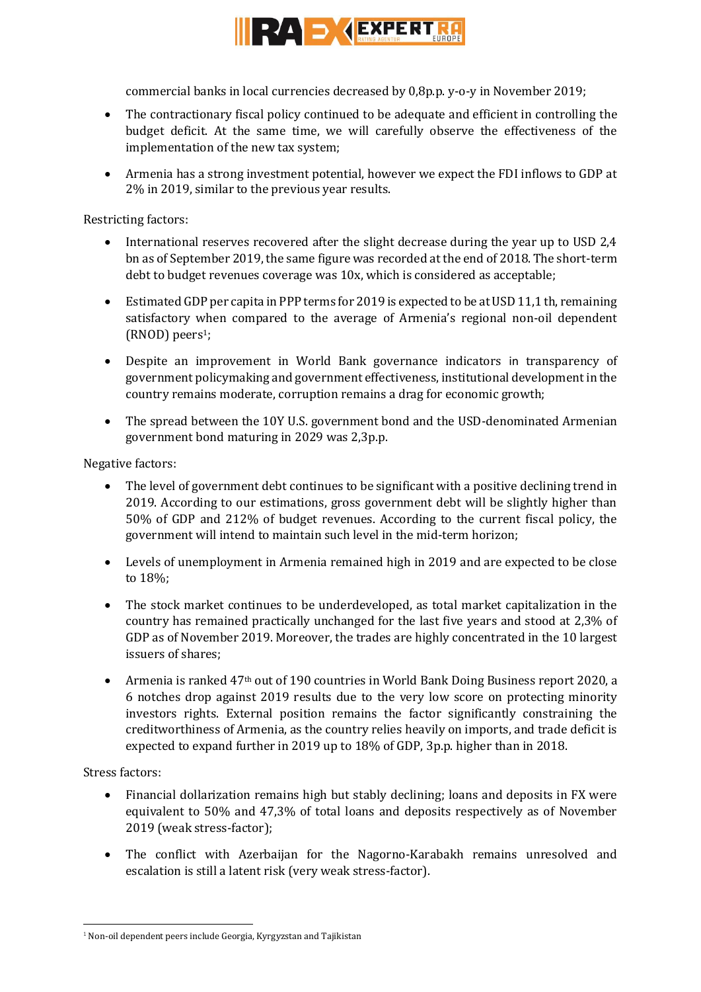

commercial banks in local currencies decreased by 0,8p.p. y-o-y in November 2019;

- The contractionary fiscal policy continued to be adequate and efficient in controlling the budget deficit. At the same time, we will carefully observe the effectiveness of the implementation of the new tax system;
- Armenia has a strong investment potential, however we expect the FDI inflows to GDP at 2% in 2019, similar to the previous year results.

Restricting factors:

- International reserves recovered after the slight decrease during the year up to USD 2,4 bn as of September 2019, the same figure was recorded at the end of 2018. The short-term debt to budget revenues coverage was 10x, which is considered as acceptable;
- Estimated GDP per capita in PPP terms for 2019 is expected to be at USD 11,1 th, remaining satisfactory when compared to the average of Armenia's regional non-oil dependent (RNOD) peers<sup>1</sup>;
- Despite an improvement in World Bank governance indicators in transparency of government policymaking and government effectiveness, institutional development in the country remains moderate, corruption remains a drag for economic growth;
- The spread between the 10Y U.S. government bond and the USD-denominated Armenian government bond maturing in 2029 was 2,3p.p.

Negative factors:

- The level of government debt continues to be significant with a positive declining trend in 2019. According to our estimations, gross government debt will be slightly higher than 50% of GDP and 212% of budget revenues. According to the current fiscal policy, the government will intend to maintain such level in the mid-term horizon;
- Levels of unemployment in Armenia remained high in 2019 and are expected to be close to 18%;
- The stock market continues to be underdeveloped, as total market capitalization in the country has remained practically unchanged for the last five years and stood at 2,3% of GDP as of November 2019. Moreover, the trades are highly concentrated in the 10 largest issuers of shares;
- Armenia is ranked 47th out of 190 countries in World Bank Doing Business report 2020, a 6 notches drop against 2019 results due to the very low score on protecting minority investors rights. External position remains the factor significantly constraining the creditworthiness of Armenia, as the country relies heavily on imports, and trade deficit is expected to expand further in 2019 up to 18% of GDP, 3p.p. higher than in 2018.

Stress factors:

**.** 

- Financial dollarization remains high but stably declining; loans and deposits in FX were equivalent to 50% and 47,3% of total loans and deposits respectively as of November 2019 (weak stress-factor);
- The conflict with Azerbaijan for the Nagorno-Karabakh remains unresolved and escalation is still a latent risk (very weak stress-factor).

 $1$  Non-oil dependent peers include Georgia, Kyrgyzstan and Tajikistan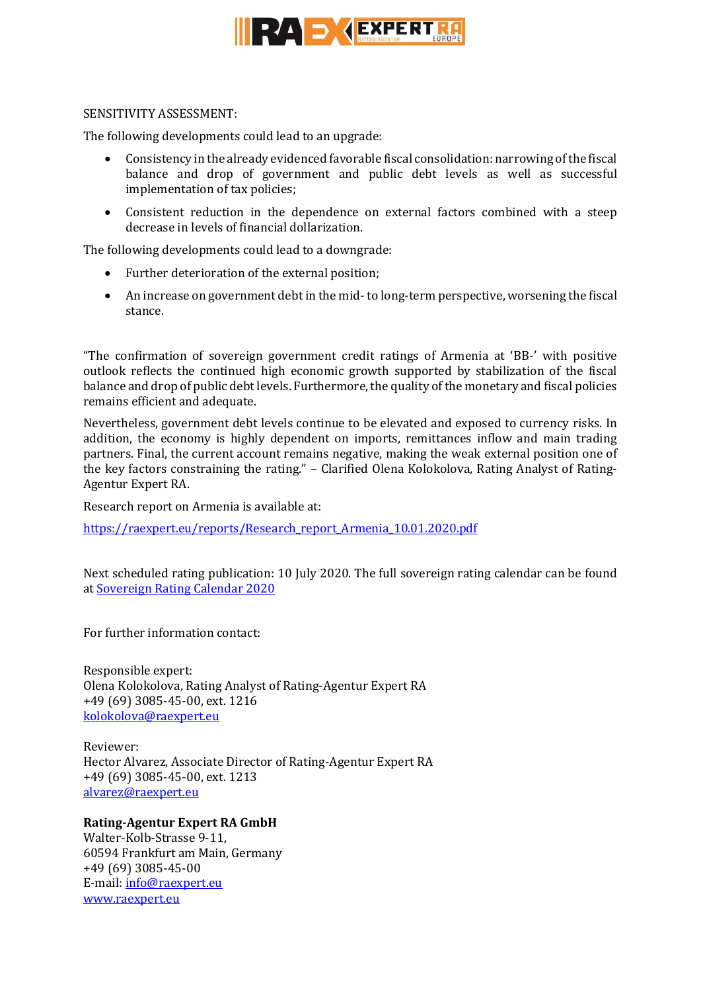

### SENSITIVITY ASSESSMENT:

The following developments could lead to an upgrade:

- Consistency in the already evidenced favorable fiscal consolidation: narrowing of the fiscal balance and drop of government and public debt levels as well as successful implementation of tax policies;
- Consistent reduction in the dependence on external factors combined with a steep decrease in levels of financial dollarization.

The following developments could lead to a downgrade:

- Further deterioration of the external position;
- An increase on government debt in the mid- to long-term perspective, worsening the fiscal stance.

"The confirmation of sovereign government credit ratings of Armenia at 'BB-' with positive outlook reflects the continued high economic growth supported by stabilization of the fiscal balance and drop of public debt levels. Furthermore, the quality of the monetary and fiscal policies remains efficient and adequate.

Nevertheless, government debt levels continue to be elevated and exposed to currency risks. In addition, the economy is highly dependent on imports, remittances inflow and main trading partners. Final, the current account remains negative, making the weak external position one of the key factors constraining the rating." – Clarified Olena Kolokolova, Rating Analyst of Rating-Agentur Expert RA.

Research report on Armenia is available at:

[https://raexpert.eu/reports/Research\\_report\\_Armenia\\_10.01.2020.pdf](https://raexpert.eu/reports/Research_report_Armenia_10.01.2020.pdf)

Next scheduled rating publication: 10 July 2020. The full sovereign rating calendar can be found at [Sovereign Rating Calendar 2020](https://raexpert.eu/sovereign/#conf-tab-5)

For further information contact:

Responsible expert: Olena Kolokolova, Rating Analyst of Rating-Agentur Expert RA +49 (69) 3085-45-00, ext. 1216 [kolokolova@raexpert.eu](mailto:kolokolova@raexpert.eu)

Reviewer: Hector Alvarez, Associate Director of Rating-Agentur Expert RA +49 (69) 3085-45-00, ext. 1213 [alvarez@raexpert.eu](mailto:alvarez@raexpert.eu)

## **Rating-Agentur Expert RA GmbH**

Walter-Kolb-Strasse 9-11, 60594 Frankfurt am Main, Germany +49 (69) 3085-45-00 E-mail[: info@raexpert.eu](mailto:info@raexpert.eu) [www.raexpert.eu](http://raexpert.eu/)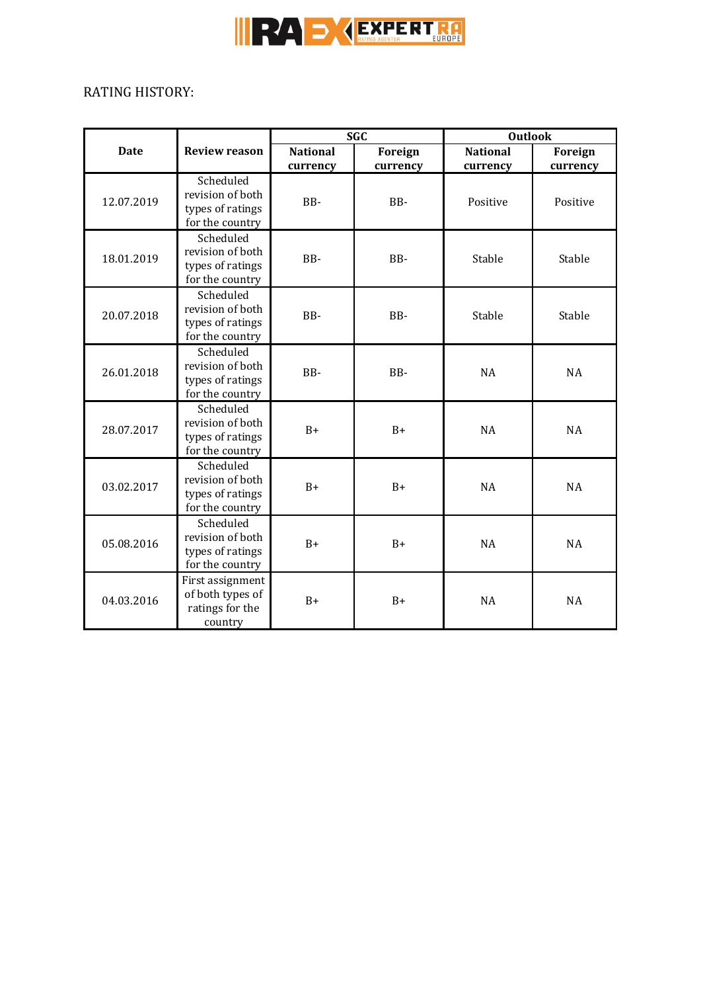

# RATING HISTORY:

| <b>Date</b> | <b>Review reason</b>                                                 | <b>SGC</b>                  |                     | <b>Outlook</b>              |                     |
|-------------|----------------------------------------------------------------------|-----------------------------|---------------------|-----------------------------|---------------------|
|             |                                                                      | <b>National</b><br>currency | Foreign<br>currency | <b>National</b><br>currency | Foreign<br>currency |
| 12.07.2019  | Scheduled<br>revision of both<br>types of ratings<br>for the country | BB-                         | BB-                 | Positive                    | Positive            |
| 18.01.2019  | Scheduled<br>revision of both<br>types of ratings<br>for the country | BB-                         | BB-                 | Stable                      | Stable              |
| 20.07.2018  | Scheduled<br>revision of both<br>types of ratings<br>for the country | BB-                         | BB-                 | Stable                      | Stable              |
| 26.01.2018  | Scheduled<br>revision of both<br>types of ratings<br>for the country | BB-                         | BB-                 | <b>NA</b>                   | NA                  |
| 28.07.2017  | Scheduled<br>revision of both<br>types of ratings<br>for the country | $B+$                        | $B+$                | <b>NA</b>                   | <b>NA</b>           |
| 03.02.2017  | Scheduled<br>revision of both<br>types of ratings<br>for the country | $B+$                        | $B+$                | <b>NA</b>                   | <b>NA</b>           |
| 05.08.2016  | Scheduled<br>revision of both<br>types of ratings<br>for the country | $B+$                        | $B+$                | <b>NA</b>                   | <b>NA</b>           |
| 04.03.2016  | First assignment<br>of both types of<br>ratings for the<br>country   | $B+$                        | $B+$                | <b>NA</b>                   | <b>NA</b>           |